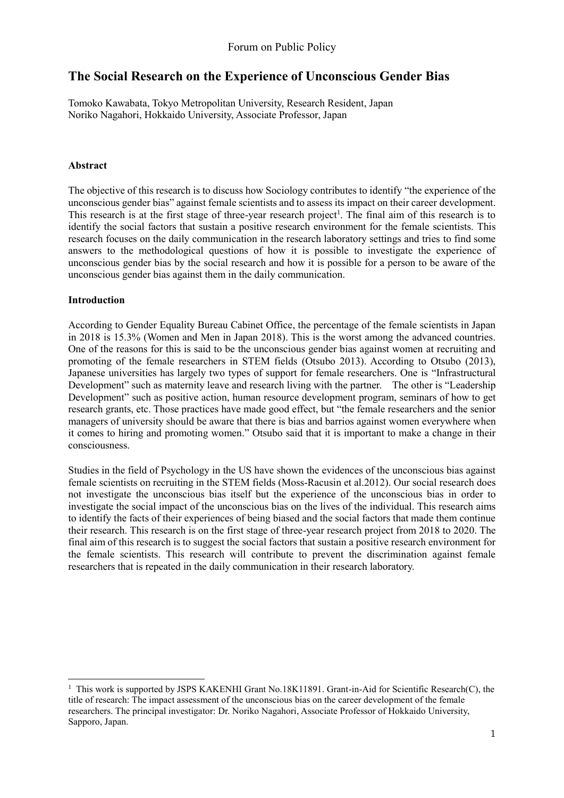# **The Social Research on the Experience of Unconscious Gender Bias**

Tomoko Kawabata, Tokyo Metropolitan University, Research Resident, Japan Noriko Nagahori, Hokkaido University, Associate Professor, Japan

### **Abstract**

The objective of this research is to discuss how Sociology contributes to identify "the experience of the unconscious gender bias" against female scientists and to assess its impact on their career development. This research is at the first stage of three-year research project<sup>1</sup>. The final aim of this research is to identify the social factors that sustain a positive research environment for the female scientists. This research focuses on the daily communication in the research laboratory settings and tries to find some answers to the methodological questions of how it is possible to investigate the experience of unconscious gender bias by the social research and how it is possible for a person to be aware of the unconscious gender bias against them in the daily communication.

### **Introduction**

-

According to Gender Equality Bureau Cabinet Office, the percentage of the female scientists in Japan in 2018 is 15.3% (Women and Men in Japan 2018). This is the worst among the advanced countries. One of the reasons for this is said to be the unconscious gender bias against women at recruiting and promoting of the female researchers in STEM fields (Otsubo 2013). According to Otsubo (2013), Japanese universities has largely two types of support for female researchers. One is "Infrastructural Development" such as maternity leave and research living with the partner. The other is "Leadership Development" such as positive action, human resource development program, seminars of how to get research grants, etc. Those practices have made good effect, but "the female researchers and the senior managers of university should be aware that there is bias and barrios against women everywhere when it comes to hiring and promoting women." Otsubo said that it is important to make a change in their consciousness.

Studies in the field of Psychology in the US have shown the evidences of the unconscious bias against female scientists on recruiting in the STEM fields (Moss-Racusin et al.2012). Our social research does not investigate the unconscious bias itself but the experience of the unconscious bias in order to investigate the social impact of the unconscious bias on the lives of the individual. This research aims to identify the facts of their experiences of being biased and the social factors that made them continue their research. This research is on the first stage of three-year research project from 2018 to 2020. The final aim of this research is to suggest the social factors that sustain a positive research environment for the female scientists. This research will contribute to prevent the discrimination against female researchers that is repeated in the daily communication in their research laboratory.

<sup>&</sup>lt;sup>1</sup> This work is supported by JSPS KAKENHI Grant No.18K11891. Grant-in-Aid for Scientific Research(C), the title of research: The impact assessment of the unconscious bias on the career development of the female researchers. The principal investigator: Dr. Noriko Nagahori, Associate Professor of Hokkaido University, Sapporo, Japan.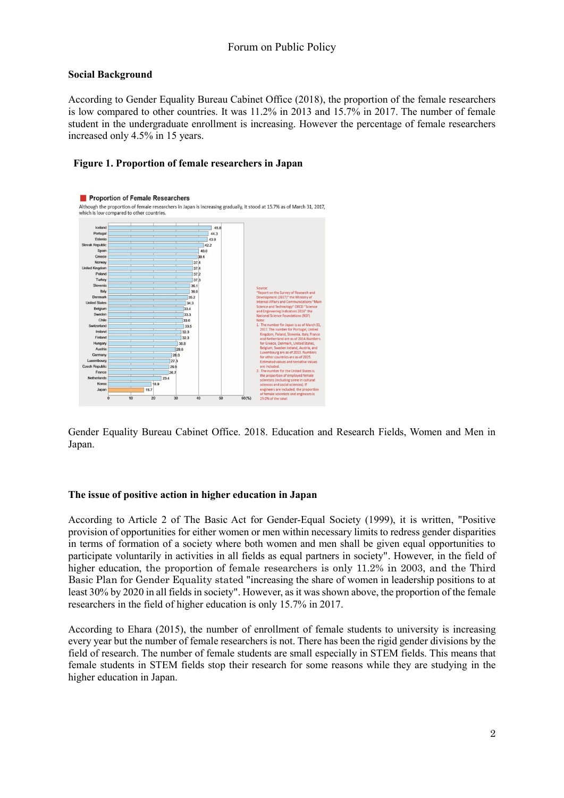#### **Social Background**

According to Gender Equality Bureau Cabinet Office (2018), the proportion of the female researchers is low compared to other countries. It was 11.2% in 2013 and 15.7% in 2017. The number of female student in the undergraduate enrollment is increasing. However the percentage of female researchers increased only 4.5% in 15 years.

### **Figure 1. Proportion of female researchers in Japan**



Gender Equality Bureau Cabinet Office. 2018. Education and Research Fields, Women and Men in Japan.

#### **The issue of positive action in higher education in Japan**

According to Article 2 of The Basic Act for Gender-Equal Society (1999), it is written, "Positive provision of opportunities for either women or men within necessary limits to redress gender disparities in terms of formation of a society where both women and men shall be given equal opportunities to participate voluntarily in activities in all fields as equal partners in society". However, in the field of higher education, the proportion of female researchers is only 11.2% in 2003, and the Third Basic Plan for Gender Equality stated "increasing the share of women in leadership positions to at least 30% by 2020 in all fields in society". However, as it was shown above, the proportion of the female researchers in the field of higher education is only 15.7% in 2017.

According to Ehara (2015), the number of enrollment of female students to university is increasing every year but the number of female researchers is not. There has been the rigid gender divisions by the field of research. The number of female students are small especially in STEM fields. This means that female students in STEM fields stop their research for some reasons while they are studying in the higher education in Japan.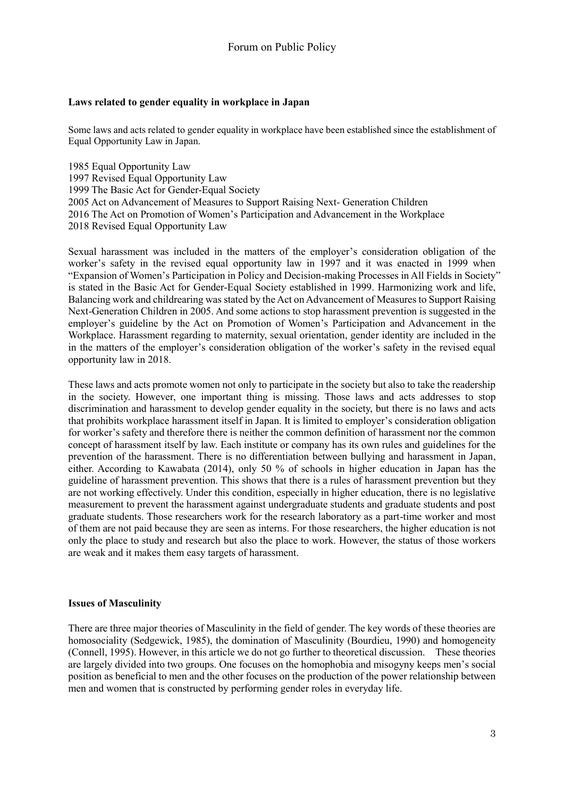### **Laws related to gender equality in workplace in Japan**

Some laws and acts related to gender equality in workplace have been established since the establishment of Equal Opportunity Law in Japan.

1985 Equal Opportunity Law 1997 Revised Equal Opportunity Law 1999 The Basic Act for Gender-Equal Society 2005 Act on Advancement of Measures to Support Raising Next- Generation Children 2016 The Act on Promotion of Women's Participation and Advancement in the Workplace 2018 Revised Equal Opportunity Law

Sexual harassment was included in the matters of the employer's consideration obligation of the worker's safety in the revised equal opportunity law in 1997 and it was enacted in 1999 when "Expansion of Women's Participation in Policy and Decision-making Processes in All Fields in Society" is stated in the Basic Act for Gender-Equal Society established in 1999. Harmonizing work and life, Balancing work and childrearing was stated by the Act on Advancement of Measures to Support Raising Next-Generation Children in 2005. And some actions to stop harassment prevention is suggested in the employer's guideline by the Act on Promotion of Women's Participation and Advancement in the Workplace. Harassment regarding to maternity, sexual orientation, gender identity are included in the in the matters of the employer's consideration obligation of the worker's safety in the revised equal opportunity law in 2018.

These laws and acts promote women not only to participate in the society but also to take the readership in the society. However, one important thing is missing. Those laws and acts addresses to stop discrimination and harassment to develop gender equality in the society, but there is no laws and acts that prohibits workplace harassment itself in Japan. It is limited to employer's consideration obligation for worker's safety and therefore there is neither the common definition of harassment nor the common concept of harassment itself by law. Each institute or company has its own rules and guidelines for the prevention of the harassment. There is no differentiation between bullying and harassment in Japan, either. According to Kawabata (2014), only 50 % of schools in higher education in Japan has the guideline of harassment prevention. This shows that there is a rules of harassment prevention but they are not working effectively. Under this condition, especially in higher education, there is no legislative measurement to prevent the harassment against undergraduate students and graduate students and post graduate students. Those researchers work for the research laboratory as a part-time worker and most of them are not paid because they are seen as interns. For those researchers, the higher education is not only the place to study and research but also the place to work. However, the status of those workers are weak and it makes them easy targets of harassment.

#### **Issues of Masculinity**

There are three major theories of Masculinity in the field of gender. The key words of these theories are homosociality (Sedgewick, 1985), the domination of Masculinity (Bourdieu, 1990) and homogeneity (Connell, 1995). However, in this article we do not go further to theoretical discussion. These theories are largely divided into two groups. One focuses on the homophobia and misogyny keeps men's social position as beneficial to men and the other focuses on the production of the power relationship between men and women that is constructed by performing gender roles in everyday life.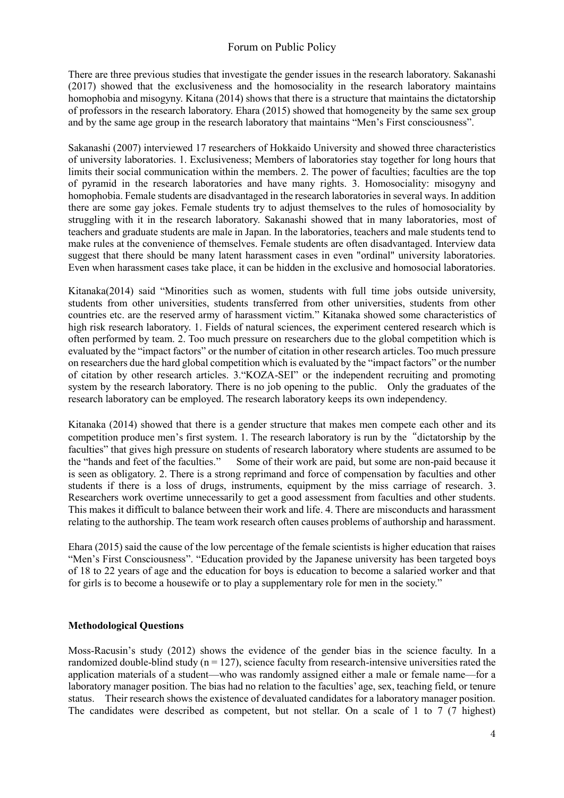There are three previous studies that investigate the gender issues in the research laboratory. Sakanashi (2017) showed that the exclusiveness and the homosociality in the research laboratory maintains homophobia and misogyny. Kitana (2014) shows that there is a structure that maintains the dictatorship of professors in the research laboratory. Ehara (2015) showed that homogeneity by the same sex group and by the same age group in the research laboratory that maintains "Men's First consciousness".

Sakanashi (2007) interviewed 17 researchers of Hokkaido University and showed three characteristics of university laboratories. 1. Exclusiveness; Members of laboratories stay together for long hours that limits their social communication within the members. 2. The power of faculties; faculties are the top of pyramid in the research laboratories and have many rights. 3. Homosociality: misogyny and homophobia. Female students are disadvantaged in the research laboratories in several ways. In addition there are some gay jokes. Female students try to adjust themselves to the rules of homosociality by struggling with it in the research laboratory. Sakanashi showed that in many laboratories, most of teachers and graduate students are male in Japan. In the laboratories, teachers and male students tend to make rules at the convenience of themselves. Female students are often disadvantaged. Interview data suggest that there should be many latent harassment cases in even "ordinal" university laboratories. Even when harassment cases take place, it can be hidden in the exclusive and homosocial laboratories.

Kitanaka(2014) said "Minorities such as women, students with full time jobs outside university, students from other universities, students transferred from other universities, students from other countries etc. are the reserved army of harassment victim." Kitanaka showed some characteristics of high risk research laboratory. 1. Fields of natural sciences, the experiment centered research which is often performed by team. 2. Too much pressure on researchers due to the global competition which is evaluated by the "impact factors" or the number of citation in other research articles. Too much pressure on researchers due the hard global competition which is evaluated by the "impact factors" or the number of citation by other research articles. 3."KOZA-SEI" or the independent recruiting and promoting system by the research laboratory. There is no job opening to the public. Only the graduates of the research laboratory can be employed. The research laboratory keeps its own independency.

Kitanaka (2014) showed that there is a gender structure that makes men compete each other and its competition produce men's first system. 1. The research laboratory is run by the"dictatorship by the faculties" that gives high pressure on students of research laboratory where students are assumed to be the "hands and feet of the faculties." Some of their work are paid, but some are non-paid because it is seen as obligatory. 2. There is a strong reprimand and force of compensation by faculties and other students if there is a loss of drugs, instruments, equipment by the miss carriage of research. 3. Researchers work overtime unnecessarily to get a good assessment from faculties and other students. This makes it difficult to balance between their work and life. 4. There are misconducts and harassment relating to the authorship. The team work research often causes problems of authorship and harassment.

Ehara (2015) said the cause of the low percentage of the female scientists is higher education that raises "Men's First Consciousness". "Education provided by the Japanese university has been targeted boys of 18 to 22 years of age and the education for boys is education to become a salaried worker and that for girls is to become a housewife or to play a supplementary role for men in the society."

#### **Methodological Questions**

Moss-Racusin's study (2012) shows the evidence of the gender bias in the science faculty. In a randomized double-blind study ( $n = 127$ ), science faculty from research-intensive universities rated the application materials of a student—who was randomly assigned either a male or female name—for a laboratory manager position. The bias had no relation to the faculties' age, sex, teaching field, or tenure status. Their research shows the existence of devaluated candidates for a laboratory manager position. The candidates were described as competent, but not stellar. On a scale of 1 to 7 (7 highest)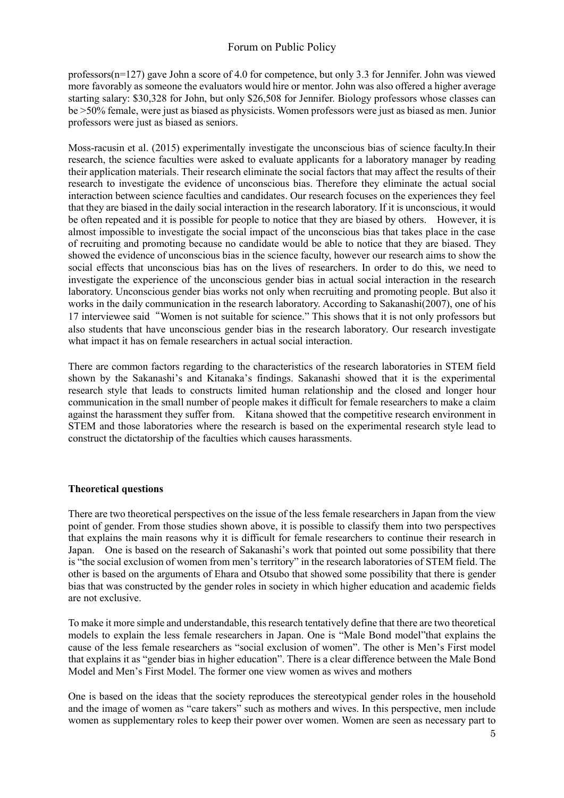professors(n=127) gave John a score of 4.0 for competence, but only 3.3 for Jennifer. John was viewed more favorably as someone the evaluators would hire or mentor. John was also offered a higher average starting salary: \$30,328 for John, but only \$26,508 for Jennifer. Biology professors whose classes can be >50% female, were just as biased as physicists. Women professors were just as biased as men. Junior professors were just as biased as seniors.

Moss-racusin et al. (2015) experimentally investigate the unconscious bias of science faculty.In their research, the science faculties were asked to evaluate applicants for a laboratory manager by reading their application materials. Their research eliminate the social factors that may affect the results of their research to investigate the evidence of unconscious bias. Therefore they eliminate the actual social interaction between science faculties and candidates. Our research focuses on the experiences they feel that they are biased in the daily social interaction in the research laboratory. If it is unconscious, it would be often repeated and it is possible for people to notice that they are biased by others. However, it is almost impossible to investigate the social impact of the unconscious bias that takes place in the case of recruiting and promoting because no candidate would be able to notice that they are biased. They showed the evidence of unconscious bias in the science faculty, however our research aims to show the social effects that unconscious bias has on the lives of researchers. In order to do this, we need to investigate the experience of the unconscious gender bias in actual social interaction in the research laboratory. Unconscious gender bias works not only when recruiting and promoting people. But also it works in the daily communication in the research laboratory. According to Sakanashi(2007), one of his 17 interviewee said"Women is not suitable for science." This shows that it is not only professors but also students that have unconscious gender bias in the research laboratory. Our research investigate what impact it has on female researchers in actual social interaction.

There are common factors regarding to the characteristics of the research laboratories in STEM field shown by the Sakanashi's and Kitanaka's findings. Sakanashi showed that it is the experimental research style that leads to constructs limited human relationship and the closed and longer hour communication in the small number of people makes it difficult for female researchers to make a claim against the harassment they suffer from. Kitana showed that the competitive research environment in STEM and those laboratories where the research is based on the experimental research style lead to construct the dictatorship of the faculties which causes harassments.

#### **Theoretical questions**

There are two theoretical perspectives on the issue of the less female researchers in Japan from the view point of gender. From those studies shown above, it is possible to classify them into two perspectives that explains the main reasons why it is difficult for female researchers to continue their research in Japan. One is based on the research of Sakanashi's work that pointed out some possibility that there is "the social exclusion of women from men's territory" in the research laboratories of STEM field. The other is based on the arguments of Ehara and Otsubo that showed some possibility that there is gender bias that was constructed by the gender roles in society in which higher education and academic fields are not exclusive.

To make it more simple and understandable, this research tentatively define that there are two theoretical models to explain the less female researchers in Japan. One is "Male Bond model"that explains the cause of the less female researchers as "social exclusion of women". The other is Men's First model that explains it as "gender bias in higher education". There is a clear difference between the Male Bond Model and Men's First Model. The former one view women as wives and mothers

One is based on the ideas that the society reproduces the stereotypical gender roles in the household and the image of women as "care takers" such as mothers and wives. In this perspective, men include women as supplementary roles to keep their power over women. Women are seen as necessary part to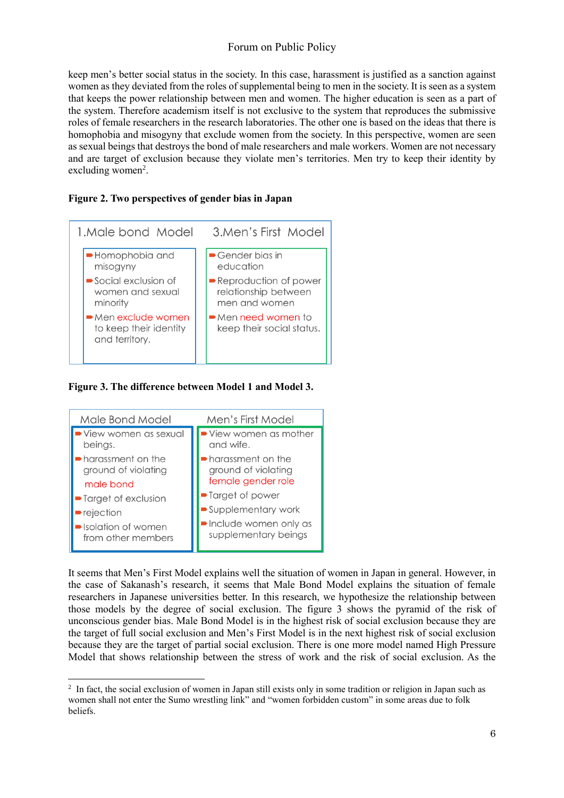keep men's better social status in the society. In this case, harassment is justified as a sanction against women as they deviated from the roles of supplemental being to men in the society. It is seen as a system that keeps the power relationship between men and women. The higher education is seen as a part of the system. Therefore academism itself is not exclusive to the system that reproduces the submissive roles of female researchers in the research laboratories. The other one is based on the ideas that there is homophobia and misogyny that exclude women from the society. In this perspective, women are seen as sexual beings that destroys the bond of male researchers and male workers. Women are not necessary and are target of exclusion because they violate men's territories. Men try to keep their identity by excluding women<sup>2</sup>.

#### **Figure 2. Two perspectives of gender bias in Japan**



**Figure 3. The difference between Model 1 and Model 3.**



-

It seems that Men's First Model explains well the situation of women in Japan in general. However, in the case of Sakanash's research, it seems that Male Bond Model explains the situation of female researchers in Japanese universities better. In this research, we hypothesize the relationship between those models by the degree of social exclusion. The figure 3 shows the pyramid of the risk of unconscious gender bias. Male Bond Model is in the highest risk of social exclusion because they are the target of full social exclusion and Men's First Model is in the next highest risk of social exclusion because they are the target of partial social exclusion. There is one more model named High Pressure Model that shows relationship between the stress of work and the risk of social exclusion. As the

<sup>&</sup>lt;sup>2</sup> In fact, the social exclusion of women in Japan still exists only in some tradition or religion in Japan such as women shall not enter the Sumo wrestling link" and "women forbidden custom" in some areas due to folk beliefs.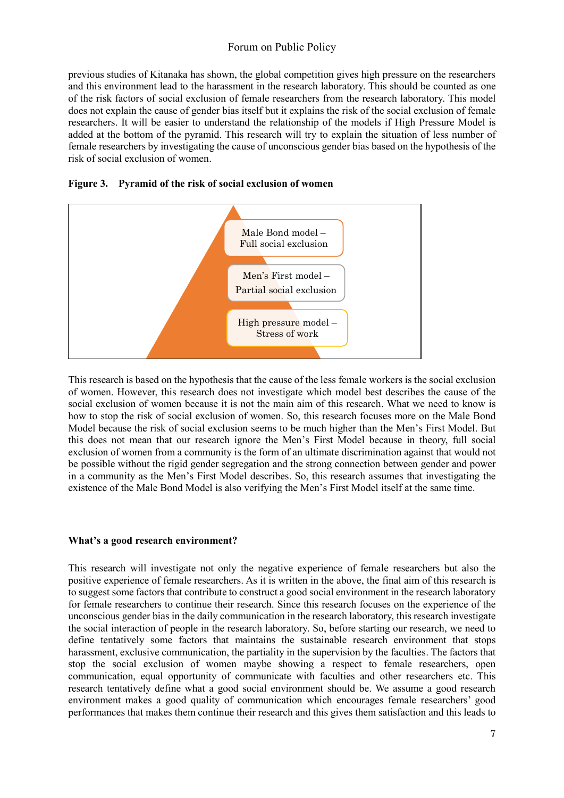previous studies of Kitanaka has shown, the global competition gives high pressure on the researchers and this environment lead to the harassment in the research laboratory. This should be counted as one of the risk factors of social exclusion of female researchers from the research laboratory. This model does not explain the cause of gender bias itself but it explains the risk of the social exclusion of female researchers. It will be easier to understand the relationship of the models if High Pressure Model is added at the bottom of the pyramid. This research will try to explain the situation of less number of female researchers by investigating the cause of unconscious gender bias based on the hypothesis of the risk of social exclusion of women.





This research is based on the hypothesis that the cause of the less female workers is the social exclusion of women. However, this research does not investigate which model best describes the cause of the social exclusion of women because it is not the main aim of this research. What we need to know is how to stop the risk of social exclusion of women. So, this research focuses more on the Male Bond Model because the risk of social exclusion seems to be much higher than the Men's First Model. But this does not mean that our research ignore the Men's First Model because in theory, full social exclusion of women from a community is the form of an ultimate discrimination against that would not be possible without the rigid gender segregation and the strong connection between gender and power in a community as the Men's First Model describes. So, this research assumes that investigating the existence of the Male Bond Model is also verifying the Men's First Model itself at the same time.

#### **What's a good research environment?**

This research will investigate not only the negative experience of female researchers but also the positive experience of female researchers. As it is written in the above, the final aim of this research is to suggest some factors that contribute to construct a good social environment in the research laboratory for female researchers to continue their research. Since this research focuses on the experience of the unconscious gender bias in the daily communication in the research laboratory, this research investigate the social interaction of people in the research laboratory. So, before starting our research, we need to define tentatively some factors that maintains the sustainable research environment that stops harassment, exclusive communication, the partiality in the supervision by the faculties. The factors that stop the social exclusion of women maybe showing a respect to female researchers, open communication, equal opportunity of communicate with faculties and other researchers etc. This research tentatively define what a good social environment should be. We assume a good research environment makes a good quality of communication which encourages female researchers' good performances that makes them continue their research and this gives them satisfaction and this leads to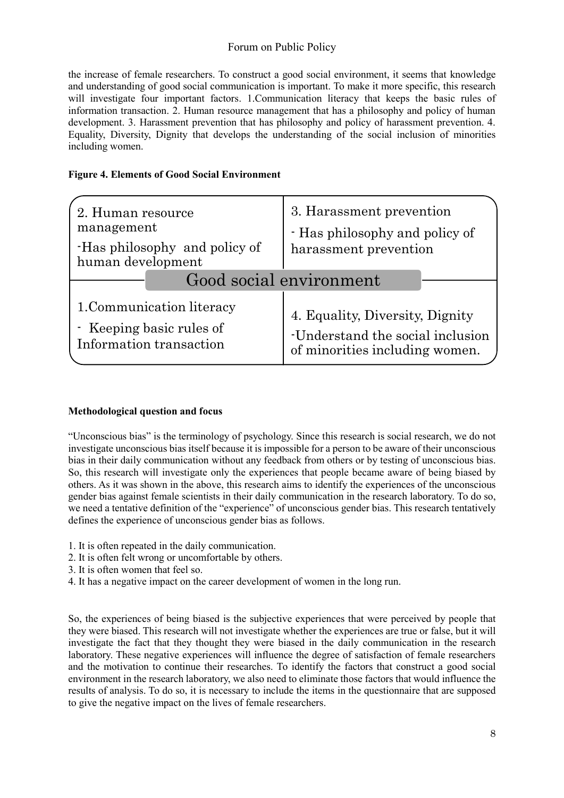the increase of female researchers. To construct a good social environment, it seems that knowledge and understanding of good social communication is important. To make it more specific, this research will investigate four important factors. 1.Communication literacy that keeps the basic rules of information transaction. 2. Human resource management that has a philosophy and policy of human development. 3. Harassment prevention that has philosophy and policy of harassment prevention. 4. Equality, Diversity, Dignity that develops the understanding of the social inclusion of minorities including women.

### **Figure 4. Elements of Good Social Environment**

| 2. Human resource            | 3. Harassment prevention         |
|------------------------------|----------------------------------|
| management                   | - Has philosophy and policy of   |
| Has philosophy and policy of | harassment prevention            |
| human development            | Good social environment          |
| 1. Communication literacy    | 4. Equality, Diversity, Dignity  |
| - Keeping basic rules of     | -Understand the social inclusion |
| Information transaction      | of minorities including women.   |

### **Methodological question and focus**

"Unconscious bias" is the terminology of psychology. Since this research is social research, we do not investigate unconscious bias itself because it is impossible for a person to be aware of their unconscious bias in their daily communication without any feedback from others or by testing of unconscious bias. So, this research will investigate only the experiences that people became aware of being biased by others. As it was shown in the above, this research aims to identify the experiences of the unconscious gender bias against female scientists in their daily communication in the research laboratory. To do so, we need a tentative definition of the "experience" of unconscious gender bias. This research tentatively defines the experience of unconscious gender bias as follows.

- 1. It is often repeated in the daily communication.
- 2. It is often felt wrong or uncomfortable by others.
- 3. It is often women that feel so.
- 4. It has a negative impact on the career development of women in the long run.

So, the experiences of being biased is the subjective experiences that were perceived by people that they were biased. This research will not investigate whether the experiences are true or false, but it will investigate the fact that they thought they were biased in the daily communication in the research laboratory. These negative experiences will influence the degree of satisfaction of female researchers and the motivation to continue their researches. To identify the factors that construct a good social environment in the research laboratory, we also need to eliminate those factors that would influence the results of analysis. To do so, it is necessary to include the items in the questionnaire that are supposed to give the negative impact on the lives of female researchers.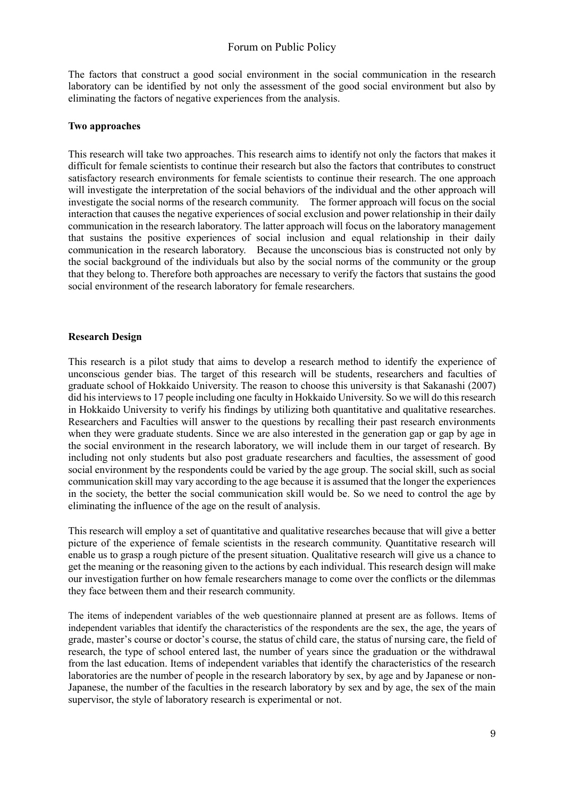The factors that construct a good social environment in the social communication in the research laboratory can be identified by not only the assessment of the good social environment but also by eliminating the factors of negative experiences from the analysis.

### **Two approaches**

This research will take two approaches. This research aims to identify not only the factors that makes it difficult for female scientists to continue their research but also the factors that contributes to construct satisfactory research environments for female scientists to continue their research. The one approach will investigate the interpretation of the social behaviors of the individual and the other approach will investigate the social norms of the research community. The former approach will focus on the social interaction that causes the negative experiences of social exclusion and power relationship in their daily communication in the research laboratory. The latter approach will focus on the laboratory management that sustains the positive experiences of social inclusion and equal relationship in their daily communication in the research laboratory. Because the unconscious bias is constructed not only by the social background of the individuals but also by the social norms of the community or the group that they belong to. Therefore both approaches are necessary to verify the factors that sustains the good social environment of the research laboratory for female researchers.

### **Research Design**

This research is a pilot study that aims to develop a research method to identify the experience of unconscious gender bias. The target of this research will be students, researchers and faculties of graduate school of Hokkaido University. The reason to choose this university is that Sakanashi (2007) did hisinterviews to 17 people including one faculty in Hokkaido University. So we will do this research in Hokkaido University to verify his findings by utilizing both quantitative and qualitative researches. Researchers and Faculties will answer to the questions by recalling their past research environments when they were graduate students. Since we are also interested in the generation gap or gap by age in the social environment in the research laboratory, we will include them in our target of research. By including not only students but also post graduate researchers and faculties, the assessment of good social environment by the respondents could be varied by the age group. The social skill, such as social communication skill may vary according to the age because it is assumed that the longer the experiences in the society, the better the social communication skill would be. So we need to control the age by eliminating the influence of the age on the result of analysis.

This research will employ a set of quantitative and qualitative researches because that will give a better picture of the experience of female scientists in the research community. Quantitative research will enable us to grasp a rough picture of the present situation. Qualitative research will give us a chance to get the meaning or the reasoning given to the actions by each individual. This research design will make our investigation further on how female researchers manage to come over the conflicts or the dilemmas they face between them and their research community.

The items of independent variables of the web questionnaire planned at present are as follows. Items of independent variables that identify the characteristics of the respondents are the sex, the age, the years of grade, master's course or doctor's course, the status of child care, the status of nursing care, the field of research, the type of school entered last, the number of years since the graduation or the withdrawal from the last education. Items of independent variables that identify the characteristics of the research laboratories are the number of people in the research laboratory by sex, by age and by Japanese or non-Japanese, the number of the faculties in the research laboratory by sex and by age, the sex of the main supervisor, the style of laboratory research is experimental or not.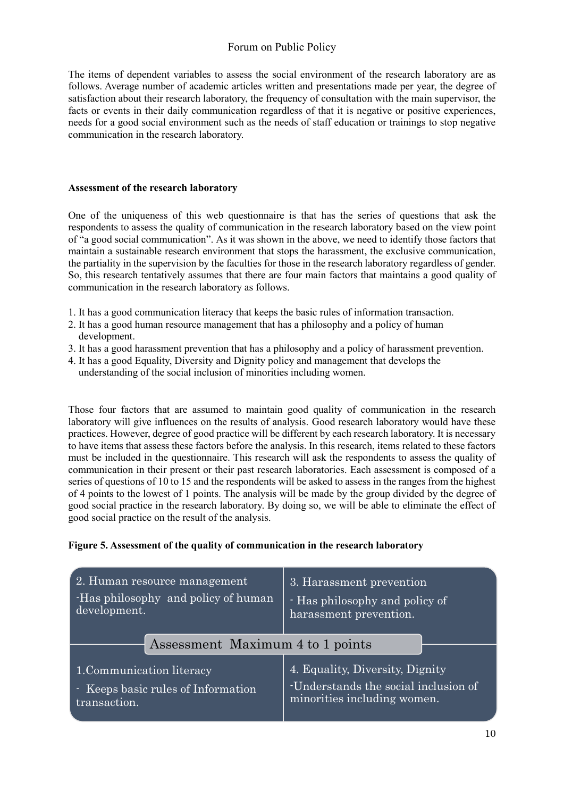The items of dependent variables to assess the social environment of the research laboratory are as follows. Average number of academic articles written and presentations made per year, the degree of satisfaction about their research laboratory, the frequency of consultation with the main supervisor, the facts or events in their daily communication regardless of that it is negative or positive experiences, needs for a good social environment such as the needs of staff education or trainings to stop negative communication in the research laboratory.

### **Assessment of the research laboratory**

One of the uniqueness of this web questionnaire is that has the series of questions that ask the respondents to assess the quality of communication in the research laboratory based on the view point of "a good social communication". As it was shown in the above, we need to identify those factors that maintain a sustainable research environment that stops the harassment, the exclusive communication, the partiality in the supervision by the faculties for those in the research laboratory regardless of gender. So, this research tentatively assumes that there are four main factors that maintains a good quality of communication in the research laboratory as follows.

- 1. It has a good communication literacy that keeps the basic rules of information transaction.
- 2. It has a good human resource management that has a philosophy and a policy of human development.
- 3. It has a good harassment prevention that has a philosophy and a policy of harassment prevention.
- 4. It has a good Equality, Diversity and Dignity policy and management that develops the understanding of the social inclusion of minorities including women.

Those four factors that are assumed to maintain good quality of communication in the research laboratory will give influences on the results of analysis. Good research laboratory would have these practices. However, degree of good practice will be different by each research laboratory. It is necessary to have items that assess these factors before the analysis. In this research, items related to these factors must be included in the questionnaire. This research will ask the respondents to assess the quality of communication in their present or their past research laboratories. Each assessment is composed of a series of questions of 10 to 15 and the respondents will be asked to assess in the ranges from the highest of 4 points to the lowest of 1 points. The analysis will be made by the group divided by the degree of good social practice in the research laboratory. By doing so, we will be able to eliminate the effect of good social practice on the result of the analysis.

### **Figure 5. Assessment of the quality of communication in the research laboratory**

| 2. Human resource management       | 3. Harassment prevention             |
|------------------------------------|--------------------------------------|
| Has philosophy and policy of human | - Has philosophy and policy of       |
| development.                       | harassment prevention.               |
| Assessment Maximum 4 to 1 points   |                                      |
| 1. Communication literacy          | 4. Equality, Diversity, Dignity      |
| - Keeps basic rules of Information | -Understands the social inclusion of |
| transaction.                       | minorities including women.          |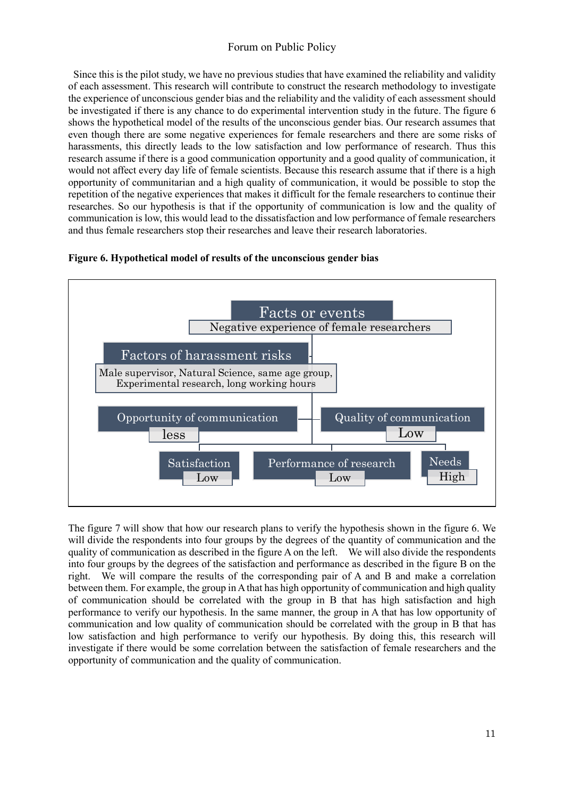Since this is the pilot study, we have no previous studies that have examined the reliability and validity of each assessment. This research will contribute to construct the research methodology to investigate the experience of unconscious gender bias and the reliability and the validity of each assessment should be investigated if there is any chance to do experimental intervention study in the future. The figure 6 shows the hypothetical model of the results of the unconscious gender bias. Our research assumes that even though there are some negative experiences for female researchers and there are some risks of harassments, this directly leads to the low satisfaction and low performance of research. Thus this research assume if there is a good communication opportunity and a good quality of communication, it would not affect every day life of female scientists. Because this research assume that if there is a high opportunity of communitarian and a high quality of communication, it would be possible to stop the repetition of the negative experiences that makes it difficult for the female researchers to continue their researches. So our hypothesis is that if the opportunity of communication is low and the quality of communication is low, this would lead to the dissatisfaction and low performance of female researchers and thus female researchers stop their researches and leave their research laboratories.





The figure 7 will show that how our research plans to verify the hypothesis shown in the figure 6. We will divide the respondents into four groups by the degrees of the quantity of communication and the quality of communication as described in the figure A on the left. We will also divide the respondents into four groups by the degrees of the satisfaction and performance as described in the figure B on the right. We will compare the results of the corresponding pair of A and B and make a correlation between them. For example, the group in A that has high opportunity of communication and high quality of communication should be correlated with the group in B that has high satisfaction and high performance to verify our hypothesis. In the same manner, the group in A that has low opportunity of communication and low quality of communication should be correlated with the group in B that has low satisfaction and high performance to verify our hypothesis. By doing this, this research will investigate if there would be some correlation between the satisfaction of female researchers and the opportunity of communication and the quality of communication.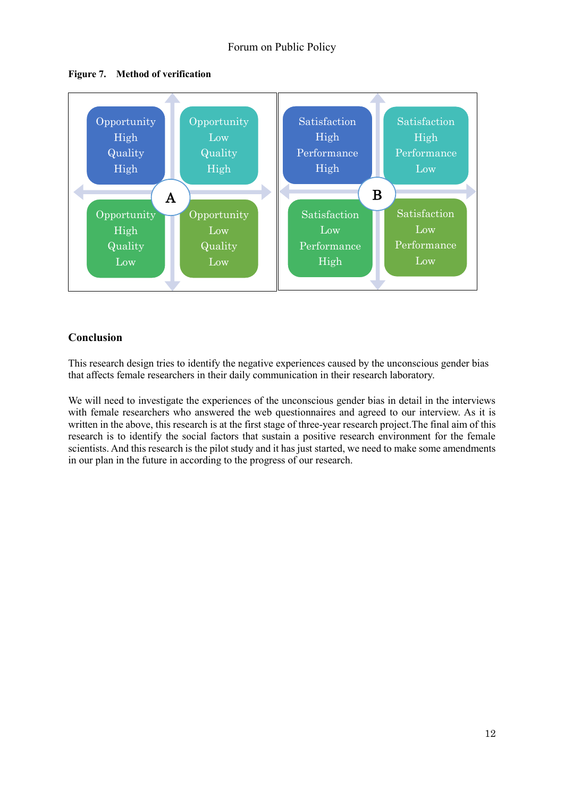



## **Conclusion**

This research design tries to identify the negative experiences caused by the unconscious gender bias that affects female researchers in their daily communication in their research laboratory.

We will need to investigate the experiences of the unconscious gender bias in detail in the interviews with female researchers who answered the web questionnaires and agreed to our interview. As it is written in the above, this research is at the first stage of three-year research project.The final aim of this research is to identify the social factors that sustain a positive research environment for the female scientists. And this research is the pilot study and it has just started, we need to make some amendments in our plan in the future in according to the progress of our research.